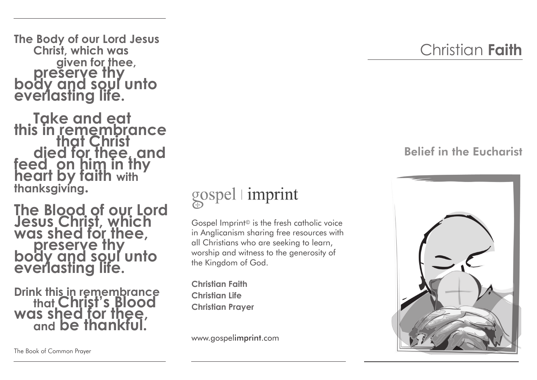**The Body of our Lord Jesus Christ, which was**  given for thee, **preserve thy body and soul unto everlasting life.** 

**Take and eat<br>this in remembrance<br>that Christ** died for thee, and<br>feed on him in thy<br>heart by faith with **thanksgiving.**

**The Blood of our Lord Jesus Christ, which was shed for thee, preserve thy body and soul unto everlasting life.** 

**Drink this in remembrance that Christ's Blood was shed for thee, and be thankful.**

gospel imprint

Gospel Imprint© is the fresh catholic voice in Anglicanism sharing free resources with all Christians who are seeking to learn, worship and witness to the generosity of the Kingdom of God.

**Christian Faith Christian Life Christian Prayer**

www.gospelimprint.com

## Belief in the Eucharist



The Book of Common Prayer